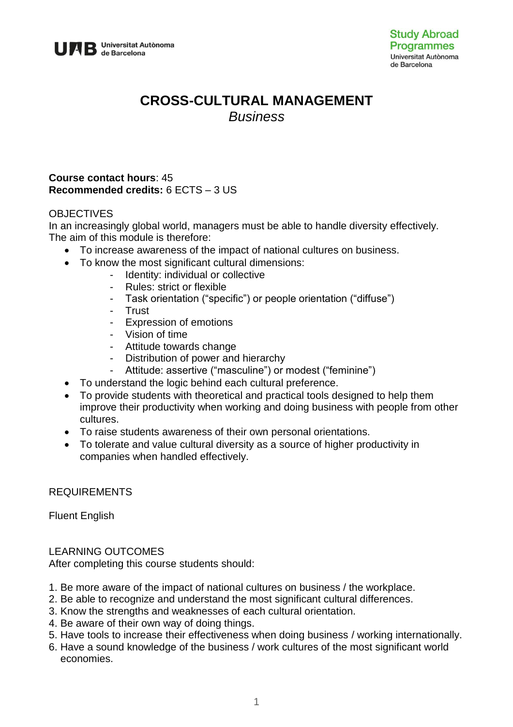

# **CROSS-CULTURAL MANAGEMENT** *Business*

#### **Course contact hours**: 45 **Recommended credits:** 6 ECTS – 3 US

### **OBJECTIVES**

In an increasingly global world, managers must be able to handle diversity effectively. The aim of this module is therefore:

- To increase awareness of the impact of national cultures on business.
- To know the most significant cultural dimensions:
	- Identity: individual or collective
	- Rules: strict or flexible
	- Task orientation ("specific") or people orientation ("diffuse")
	- Trust
	- Expression of emotions
	- Vision of time
	- Attitude towards change
	- Distribution of power and hierarchy
	- Attitude: assertive ("masculine") or modest ("feminine")
- To understand the logic behind each cultural preference.
- To provide students with theoretical and practical tools designed to help them improve their productivity when working and doing business with people from other cultures.
- To raise students awareness of their own personal orientations.
- To tolerate and value cultural diversity as a source of higher productivity in companies when handled effectively.

#### REQUIREMENTS

Fluent English

#### LEARNING OUTCOMES

After completing this course students should:

- 1. Be more aware of the impact of national cultures on business / the workplace.
- 2. Be able to recognize and understand the most significant cultural differences.
- 3. Know the strengths and weaknesses of each cultural orientation.
- 4. Be aware of their own way of doing things.
- 5. Have tools to increase their effectiveness when doing business / working internationally.
- 6. Have a sound knowledge of the business / work cultures of the most significant world economies.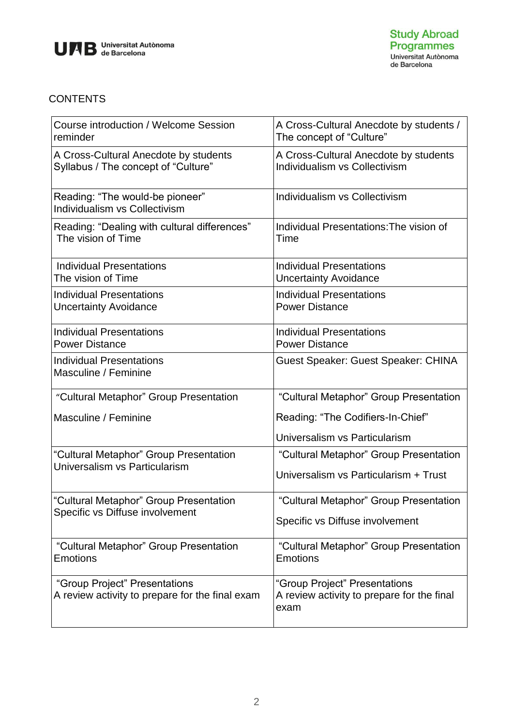

## **CONTENTS**

| Course introduction / Welcome Session<br>reminder                                | A Cross-Cultural Anecdote by students /<br>The concept of "Culture"                 |
|----------------------------------------------------------------------------------|-------------------------------------------------------------------------------------|
| A Cross-Cultural Anecdote by students<br>Syllabus / The concept of "Culture"     | A Cross-Cultural Anecdote by students<br>Individualism vs Collectivism              |
| Reading: "The would-be pioneer"<br>Individualism vs Collectivism                 | Individualism vs Collectivism                                                       |
| Reading: "Dealing with cultural differences"<br>The vision of Time               | Individual Presentations: The vision of<br>Time                                     |
| <b>Individual Presentations</b><br>The vision of Time                            | <b>Individual Presentations</b><br><b>Uncertainty Avoidance</b>                     |
| <b>Individual Presentations</b><br><b>Uncertainty Avoidance</b>                  | <b>Individual Presentations</b><br><b>Power Distance</b>                            |
| <b>Individual Presentations</b><br><b>Power Distance</b>                         | <b>Individual Presentations</b><br><b>Power Distance</b>                            |
| <b>Individual Presentations</b><br>Masculine / Feminine                          | Guest Speaker: Guest Speaker: CHINA                                                 |
| "Cultural Metaphor" Group Presentation                                           | "Cultural Metaphor" Group Presentation                                              |
| Masculine / Feminine                                                             | Reading: "The Codifiers-In-Chief"                                                   |
|                                                                                  | Universalism vs Particularism                                                       |
| "Cultural Metaphor" Group Presentation<br>Universalism vs Particularism          | "Cultural Metaphor" Group Presentation                                              |
|                                                                                  | Universalism vs Particularism + Trust                                               |
| "Cultural Metaphor" Group Presentation<br>Specific vs Diffuse involvement        | "Cultural Metaphor" Group Presentation                                              |
|                                                                                  | Specific vs Diffuse involvement                                                     |
| "Cultural Metaphor" Group Presentation<br><b>Emotions</b>                        | "Cultural Metaphor" Group Presentation<br><b>Emotions</b>                           |
| "Group Project" Presentations<br>A review activity to prepare for the final exam | "Group Project" Presentations<br>A review activity to prepare for the final<br>exam |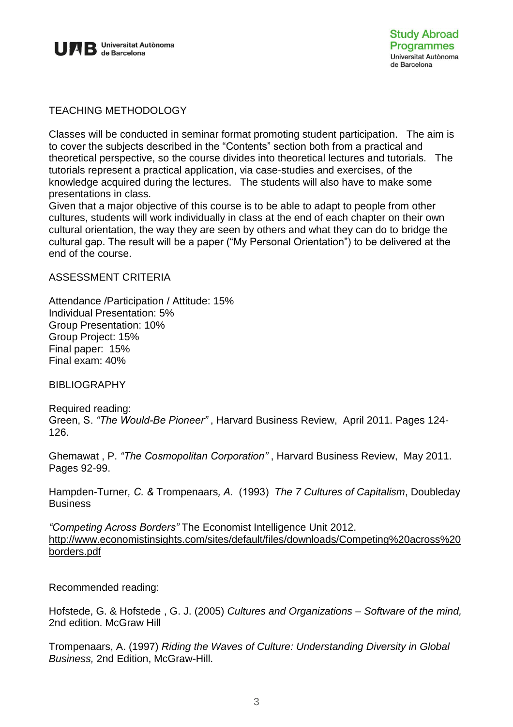

TEACHING METHODOLOGY

Classes will be conducted in seminar format promoting student participation. The aim is to cover the subjects described in the "Contents" section both from a practical and theoretical perspective, so the course divides into theoretical lectures and tutorials. The tutorials represent a practical application, via case-studies and exercises, of the knowledge acquired during the lectures. The students will also have to make some presentations in class.

Given that a major objective of this course is to be able to adapt to people from other cultures, students will work individually in class at the end of each chapter on their own cultural orientation, the way they are seen by others and what they can do to bridge the cultural gap. The result will be a paper ("My Personal Orientation") to be delivered at the end of the course.

#### ASSESSMENT CRITERIA

Attendance /Participation / Attitude: 15% Individual Presentation: 5% Group Presentation: 10% Group Project: 15% Final paper: 15% Final exam: 40%

BIBLIOGRAPHY

Required reading: Green, S. *"The Would-Be Pioneer"* , Harvard Business Review, April 2011. Pages 124- 126.

Ghemawat , P. *"The Cosmopolitan Corporation"* , Harvard Business Review, May 2011. Pages 92-99.

Hampden-Turner*, C. &* Trompenaars*, A.* (1993) *The 7 Cultures of Capitalism*, Doubleday **Business** 

*"Competing Across Borders"* The Economist Intelligence Unit 2012. [http://www.economistinsights.com/sites/default/files/downloads/Competing%20across%20](http://www.economistinsights.com/sites/default/files/downloads/Competing%20across%20borders.pdf) [borders.pdf](http://www.economistinsights.com/sites/default/files/downloads/Competing%20across%20borders.pdf)

Recommended reading:

Hofstede, G. & Hofstede , G. J. (2005) *Cultures and Organizations – Software of the mind,*  2nd edition. McGraw Hill

Trompenaars, A. (1997) *Riding the Waves of Culture: Understanding Diversity in Global Business,* 2nd Edition, McGraw-Hill.